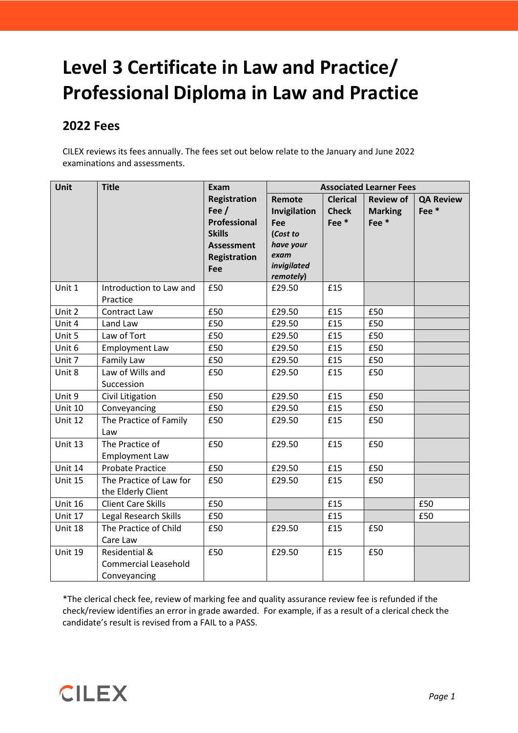# **Level 3 Certificate in Law and Practice/ Professional Diploma in Law and Practice**

## **2022 Fees**

CILEX reviews its fees annually. The fees set out below relate to the January and June 2022 examinations and assessments.

| Unit           | <b>Title</b>                 | Exam                       | <b>Associated Learner Fees</b> |                 |                  |                  |
|----------------|------------------------------|----------------------------|--------------------------------|-----------------|------------------|------------------|
|                |                              | <b>Registration</b>        | Remote                         | <b>Clerical</b> | <b>Review of</b> | <b>QA Review</b> |
|                |                              | Fee $/$                    | Invigilation                   | <b>Check</b>    | <b>Marking</b>   | Fee*             |
|                |                              | <b>Professional</b>        | Fee                            | Fee*            | Fee*             |                  |
|                |                              | <b>Skills</b>              | (Cost to                       |                 |                  |                  |
|                |                              | <b>Assessment</b>          | have your<br>exam              |                 |                  |                  |
|                |                              | <b>Registration</b><br>Fee | invigilated                    |                 |                  |                  |
|                |                              |                            | remotely)                      |                 |                  |                  |
| Unit 1         | Introduction to Law and      | £50                        | £29.50                         | £15             |                  |                  |
|                | Practice                     |                            |                                |                 |                  |                  |
| Unit 2         | Contract Law                 | £50                        | £29.50                         | £15             | £50              |                  |
| Unit 4         | Land Law                     | £50                        | £29.50                         | £15             | £50              |                  |
| Unit 5         | Law of Tort                  | £50                        | £29.50                         | £15             | £50              |                  |
| Unit 6         | <b>Employment Law</b>        | £50                        | £29.50                         | £15             | £50              |                  |
| Unit 7         | <b>Family Law</b>            | £50                        | £29.50                         | £15             | £50              |                  |
| Unit 8         | Law of Wills and             | £50                        | £29.50                         | £15             | £50              |                  |
|                | Succession                   |                            |                                |                 |                  |                  |
| Unit 9         | Civil Litigation             | £50                        | £29.50                         | £15             | £50              |                  |
| <b>Unit 10</b> | Conveyancing                 | £50                        | £29.50                         | £15             | £50              |                  |
| Unit 12        | The Practice of Family       | £50                        | £29.50                         | £15             | £50              |                  |
|                | Law                          |                            |                                |                 |                  |                  |
| Unit 13        | The Practice of              | £50                        | £29.50                         | £15             | £50              |                  |
|                | <b>Employment Law</b>        |                            |                                |                 |                  |                  |
| Unit 14        | <b>Probate Practice</b>      | £50                        | £29.50                         | £15             | £50              |                  |
| Unit 15        | The Practice of Law for      | £50                        | £29.50                         | £15             | £50              |                  |
|                | the Elderly Client           |                            |                                |                 |                  |                  |
| Unit 16        | <b>Client Care Skills</b>    | £50                        |                                | £15             |                  | £50              |
| Unit 17        | <b>Legal Research Skills</b> | £50                        |                                | £15             |                  | £50              |
| Unit 18        | The Practice of Child        | £50                        | £29.50                         | £15             | £50              |                  |
|                | Care Law                     |                            |                                |                 |                  |                  |
| Unit 19        | <b>Residential &amp;</b>     | £50                        | £29.50                         | £15             | £50              |                  |
|                | <b>Commercial Leasehold</b>  |                            |                                |                 |                  |                  |
|                | Conveyancing                 |                            |                                |                 |                  |                  |

\*The clerical check fee, review of marking fee and quality assurance review fee is refunded if the check/review identifies an error in grade awarded. For example, if as a result of a clerical check the candidate's result is revised from a FAIL to a PASS.